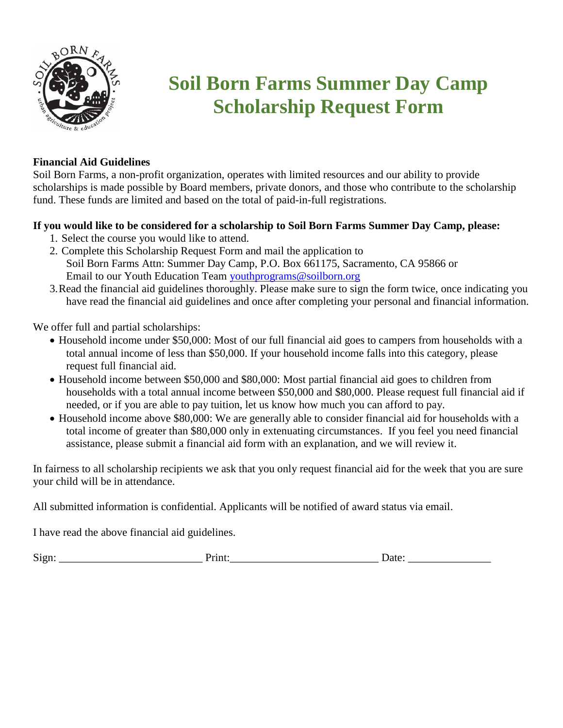

## **Soil Born Farms Summer Day Camp Scholarship Request Form**

## **Financial Aid Guidelines**

Soil Born Farms, a non-profit organization, operates with limited resources and our ability to provide scholarships is made possible by Board members, private donors, and those who contribute to the scholarship fund. These funds are limited and based on the total of paid-in-full registrations.

## **If you would like to be considered for a scholarship to Soil Born Farms Summer Day Camp, please:**

- 1. Select the course you would like to attend.
- 2. Complete this Scholarship Request Form and mail the application to Soil Born Farms Attn: Summer Day Camp, P.O. Box 661175, Sacramento, CA 95866 or Email to our Youth Education Team [youthprograms@soilborn.org](mailto:youthprograms@soilborn.org)
- 3.Read the financial aid guidelines thoroughly. Please make sure to sign the form twice, once indicating you have read the financial aid guidelines and once after completing your personal and financial information.

We offer full and partial scholarships:

- Household income under \$50,000: Most of our full financial aid goes to campers from households with a total annual income of less than \$50,000. If your household income falls into this category, please request full financial aid.
- Household income between \$50,000 and \$80,000: Most partial financial aid goes to children from households with a total annual income between \$50,000 and \$80,000. Please request full financial aid if needed, or if you are able to pay tuition, let us know how much you can afford to pay.
- Household income above \$80,000: We are generally able to consider financial aid for households with a total income of greater than \$80,000 only in extenuating circumstances. If you feel you need financial assistance, please submit a financial aid form with an explanation, and we will review it.

In fairness to all scholarship recipients we ask that you only request financial aid for the week that you are sure your child will be in attendance.

All submitted information is confidential. Applicants will be notified of award status via email.

I have read the above financial aid guidelines.

Sign: The contract of Print: The contract of Date: Date: Date:  $\Box$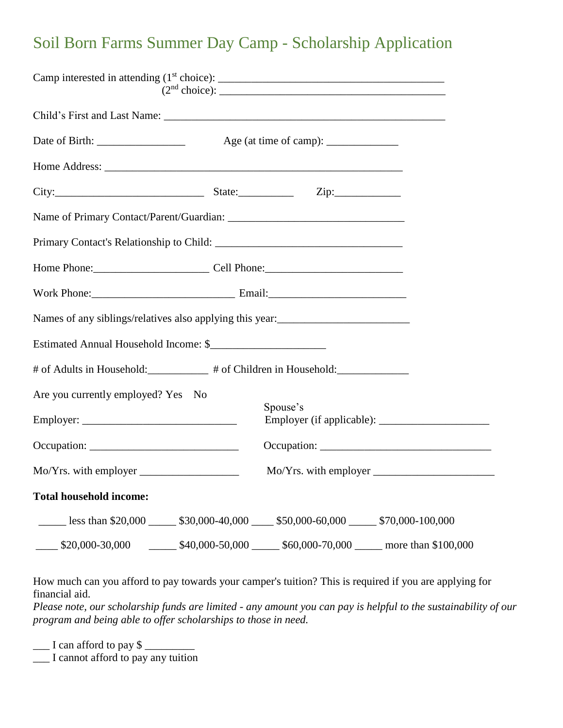## Soil Born Farms Summer Day Camp - Scholarship Application

|                                       | Age (at time of camp): $\frac{1}{\sqrt{1-\frac{1}{2}} \cdot \frac{1}{\sqrt{1-\frac{1}{2}}}}$            |
|---------------------------------------|---------------------------------------------------------------------------------------------------------|
|                                       |                                                                                                         |
|                                       |                                                                                                         |
|                                       |                                                                                                         |
|                                       |                                                                                                         |
|                                       | Home Phone: Cell Phone: Cell Phone:                                                                     |
|                                       |                                                                                                         |
|                                       |                                                                                                         |
| Estimated Annual Household Income: \$ |                                                                                                         |
|                                       | # of Adults in Household: __________ # of Children in Household: ______________                         |
| Are you currently employed? Yes No    | Spouse's                                                                                                |
|                                       |                                                                                                         |
|                                       | Occupation:                                                                                             |
|                                       |                                                                                                         |
| <b>Total household income:</b>        |                                                                                                         |
|                                       | Less than $$20,000$ $$30,000-40,000$ $$50,000-60,000$ $$70,000-100,000$                                 |
|                                       | $\frac{\$20,000-30,000}{\$40,000-50,000}$ $\frac{\$40,000-50,000}{\$60,000-70,000}$ more than \$100,000 |

How much can you afford to pay towards your camper's tuition? This is required if you are applying for financial aid.

*Please note, our scholarship funds are limited - any amount you can pay is helpful to the sustainability of our program and being able to offer scholarships to those in need.*

 $\Box$  I can afford to pay \$  $\Box$ 

\_\_\_ I cannot afford to pay any tuition